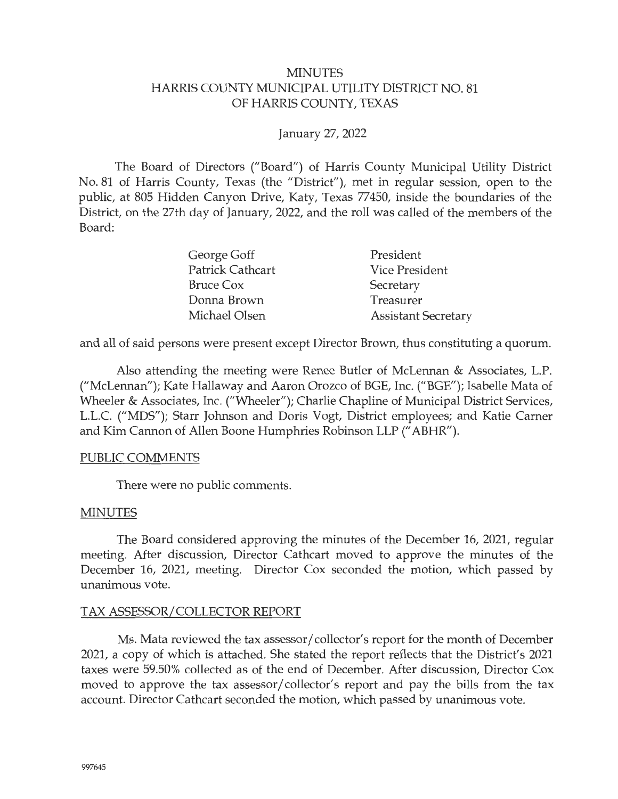### MINUTES HARRIS COUNTY MUNICIPAL UTILITY DISTRICT NO. 81 OF HARRIS COUNTY, TEXAS

## January 27, 2022

The Board of Directors ("Board") of Harris County Municipal Utility District No. 81 of Harris County, Texas (the "District"), met in regular session, open to the public, at 805 Hidden Canyon Drive, Katy, Texas 77450, inside the boundaries of the District, on the 27th day of January, 2022, and the roll was called of the members of the Board:

| George Goff             | President                  |
|-------------------------|----------------------------|
| <b>Patrick Cathcart</b> | <b>Vice President</b>      |
| Bruce Cox               | Secretary                  |
| Donna Brown             | Treasurer                  |
| Michael Olsen           | <b>Assistant Secretary</b> |

and all of said persons were present except Director Brown, thus constituting a quorum.

Also attending the meeting were Renee Butler of McLennan & Associates, L.P. ("McLennan"); Kate Hallaway and Aaron Orozco of BGE, Inc. ("BGE"); Isabelle Mata of Wheeler & Associates, Inc. ("Wheeler"); Charlie Chapline of Municipal District Services, L.L.C. ("MDS"); Starr Johnson and Doris Vogt, District employees; and Katie Carner and Kim Cannon of Allen Boone Humphries Robinson LLP (" ABHR").

#### PUBLIC COMMENTS

There were no public comments.

#### MINUTES

The Board considered approving the minutes of the December 16, 2021, regular meeting. After discussion, Director Cathcart moved to approve the minutes of the December 16, 2021, meeting. Director Cox seconded the motion, which passed by unanimous vote.

#### TAX ASSESSOR/ COLLECTOR REPORT

Ms. Mata reviewed the tax assessor/ collector's report for the month of December 2021, a copy of which is attached. She stated the report reflects that the District's 2021 taxes were 59.50% collected as of the end of December. After discussion, Director Cox moved to approve the tax assessor/ collector's report and pay the bills from the tax account. Director Cathcart seconded the motion, which passed by unanimous vote.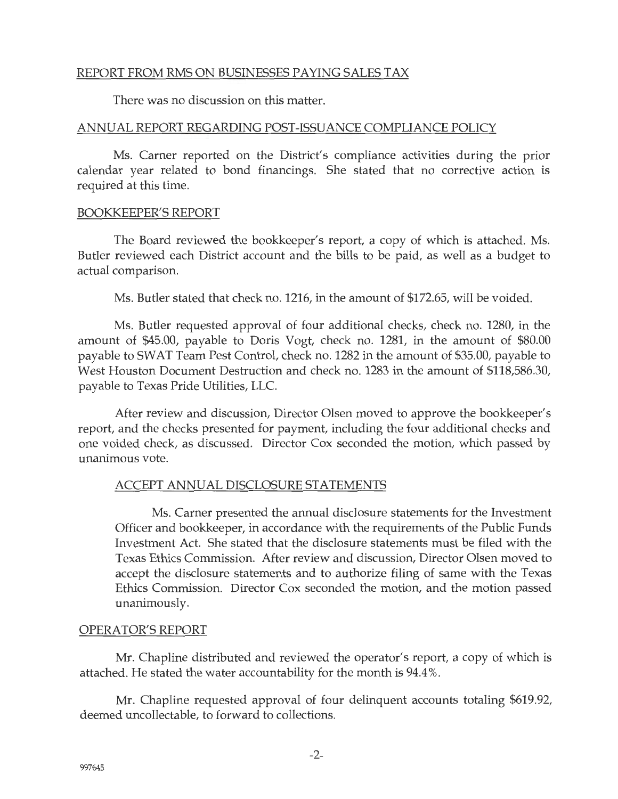## REPORT FROM RMS ON BUSINESSES PA YING SALES TAX

There was no discussion on this matter.

#### ANNUAL REPORT REGARDING POST-ISSUANCE COMPLIANCE POLICY

Ms. Carner reported on the District's compliance activities during the prior calendar year related to bond financings. She stated that no corrective action is required at this time.

#### BOOKKEEPER'S REPORT

The Board reviewed the bookkeeper's report, a copy of which is attached. Ms. Butler reviewed each District account and the bills to be paid, as well as a budget to actual comparison.

Ms. Butler stated that check no. 1216, in the amount of \$172.65, will be voided.

Ms. Butler requested approval of four additional checks, check no. 1280, in the amount of \$45.00, payable to Doris Vogt, check no. 1281, in the amount of \$80.00 payable to SWAT Team Pest Control, check no. 1282 in the amount of \$35.00, payable to West Houston Document Destruction and check no. 1283 in the amount of \$118,586.30, payable to Texas Pride Utilities, LLC.

After review and discussion, Director Olsen moved to approve the bookkeeper's report, and the checks presented for payment, including the four additional checks and one voided check, as discussed. Director Cox seconded the motion, which passed by unanimous vote.

#### ACCEPT ANNUAL DISCLOSURE STATEMENTS

Ms. Carner presented the annual disclosure statements for the Investment Officer and bookkeeper, in accordance with the requirements of the Public Funds Investment Act. She stated that the disclosure statements must be filed with the Texas Ethics Commission. After review and discussion, Director Olsen moved to accept the disclosure statements and to authorize filing of same with the Texas Ethics Commission. Director Cox seconded the motion, and the motion passed unanimously.

#### OPERATOR'S REPORT

Mr. Chapline distributed and reviewed the operator's report, a copy of which is attached. He stated the water accountability for the month is 94.4%.

Mr. Chapline requested approval of four delinquent accounts totaling \$619.92, deemed uncollectable, to forward to collections.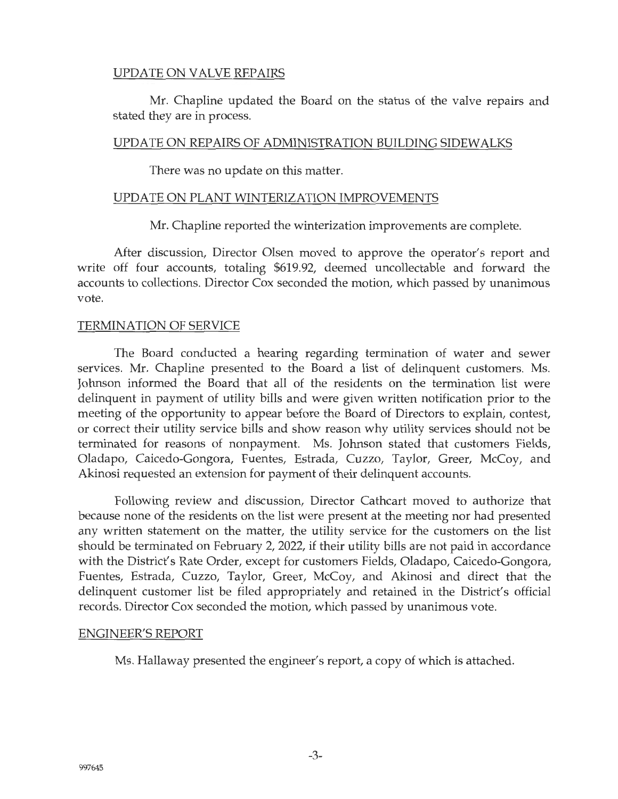## UPDATE ON VALVE REPAIRS

Mr. Chapline updated the Board on the status of the valve repairs and stated they are in process.

## UPDATE ON REPAIRS OF ADMINISTRATION BUILDING SIDEWALKS

There was no update on this matter.

### UPDATE ON PLANT WINTERIZATION IMPROVEMENTS

Mr. Chapline reported the winterization improvements are complete.

After discussion, Director Olsen moved to approve the operator's report and write off four accounts, totaling \$619.92, deemed uncollectable and forward the accounts to collections. Director Cox seconded the motion, which passed by unanimous vote.

## TERMINATION OF SERVICE

The Board conducted a hearing regarding termination of water and sewer services. Mr. Chapline presented to the Board a list of delinquent customers. Ms. Johnson informed the Board that all of the residents on the termination list were delinquent in payment of utility bills and were given written notification prior to the meeting of the opportunity to appear before the Board of Directors to explain, contest, or correct their utility service bills and show reason why utility services should not be terminated for reasons of nonpayment. Ms. Johnson stated that customers Fields, Oladapo, Caicedo-Gongora, Fuentes, Estrada, Cuzzo, Taylor, Greer, McCoy, and Akinosi requested an extension for payment of their delinquent accounts.

Following review and discussion, Director Cathcart moved to authorize that because none of the residents on the list were present at the meeting nor had presented any written statement on the matter, the utility service for the customers on the list should be terminated on February 2, 2022, if their utility bills are not paid in accordance with the District's Rate Order, except for customers Fields, Oladapo, Caicedo-Gongora, Fuentes, Estrada, Cuzzo, Taylor, Greer, McCoy, and Akinosi and direct that the delinquent customer list be filed appropriately and retained in the District's official records. Director Cox seconded the motion, which passed by unanimous vote.

#### ENGINEER'S REPORT

Ms. Hallaway presented the engineer's report, a copy of which is attached.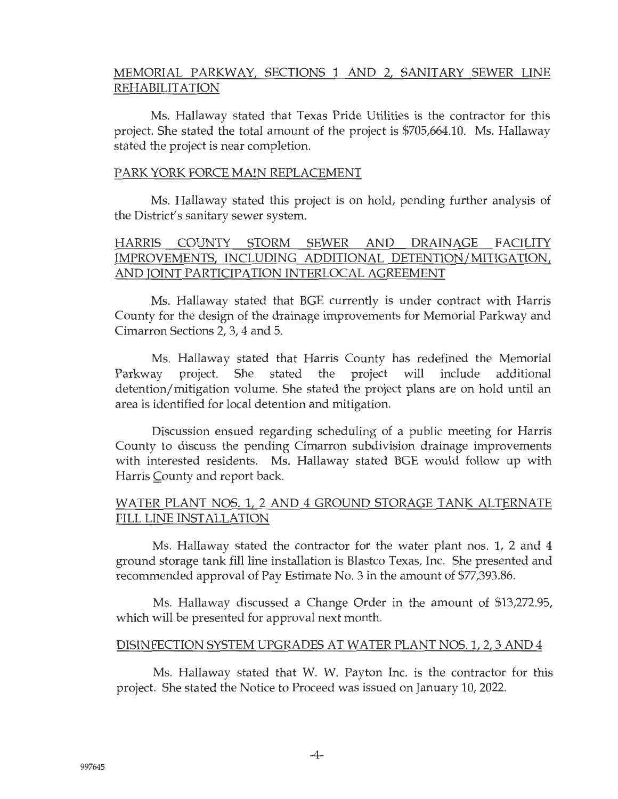## MEMORIAL PARKWAY, SECTIONS 1 AND 2, SANITARY SEWER LINE REHABILITATION

Ms. Hallaway stated that Texas Pride Utilities is the contractor for this project. She stated the total amount of the project is \$705,664.10. Ms. Hallaway stated the project is near completion.

#### PARK YORK FORCE MAIN REPLACEMENT

Ms. Hallaway stated this project is on hold, pending further analysis of the District's sanitary sewer system.

## HARRIS COUNTY STORM SEWER AND DRAINAGE FACILITY IMPROVEMENTS, INCLUDING ADDITIONAL DETENTION/MITIGATION, AND JOINT PARTICIPATION INTERLOCAL AGREEMENT

Ms. Hallaway stated that BGE currently is under contract with Harris County for the design of the drainage improvements for Memorial Parkway and Cimarron Sections 2, 3, 4 and 5.

Ms. Hallaway stated that Harris County has redefined the Memorial Parkway project. She stated the project will include additional detention/ mitigation volume. She stated the project plans are on hold until an area is identified for local detention and mitigation.

Discussion ensued regarding scheduling of a public meeting for Harris County to discuss the pending Cimarron subdivision drainage improvements with interested residents. Ms. Hallaway stated BGE would follow up with Harris County and report back.

## WATER PLANT NOS. 1, 2 AND 4 GROUND STORAGE TANK ALTERNATE FILL LINE INSTALLATION

Ms. Hallaway stated the contractor for the water plant nos. 1, 2 and 4 ground storage tank fill line installation is Blastco Texas, Inc. She presented and recommended approval of Pay Estimate No. 3 in the amount of \$77,393.86.

Ms. Hallaway discussed a Change Order in the amount of \$13,272.95, which will be presented for approval next month.

#### DISINFECTION SYSTEM UPGRADES AT WATER PLANT NOS. 1, 2, 3 AND 4

Ms. Hallaway stated that W. W. Payton Inc. is the contractor for this project. She stated the Notice to Proceed was issued on January 10, 2022.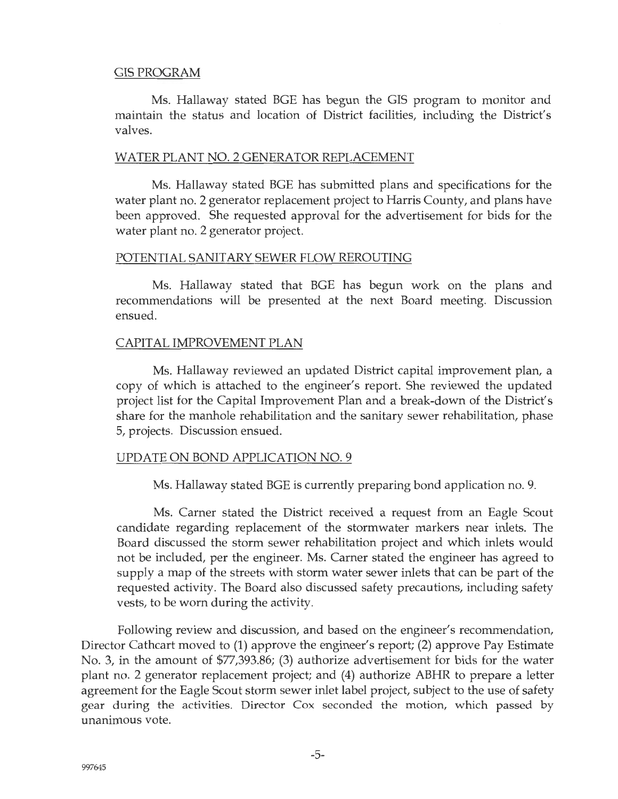#### GISPROGRAM

Ms. Hallaway stated BGE has begun the GIS program to monitor and maintain the status and location of District facilities, including the District's valves.

#### WATER PLANT NO. 2 GENERATOR REPLACEMENT

Ms. Hallaway stated BGE has submitted plans and specifications for the water plant no. 2 generator replacement project to Harris County, and plans have been approved. She requested approval for the advertisement for bids for the water plant no. 2 generator project.

#### POTENTIAL SANITARY SEWER FLOW REROUTING

Ms. Hallaway stated that BGE has begun work on the plans and recommendations will be presented at the next Board meeting. Discussion ensued.

#### CAPITAL IMPROVEMENT PLAN

Ms. Hallaway reviewed an updated District capital improvement plan, a copy of which is attached to the engineer's report. She reviewed the updated project list for the Capital Improvement Plan and a break-down of the District's share for the manhole rehabilitation and the sanitary sewer rehabilitation, phase 5, projects. Discussion ensued.

#### UPDATE ON BOND APPLICATION NO. 9

Ms. Hallaway stated BGE is currently preparing bond application no. 9.

Ms. Carner stated the District received a request from an Eagle Scout candidate regarding replacement of the stormwater markers near inlets. The Board discussed the storm sewer rehabilitation project and which inlets would not be included, per the engineer. Ms. Carner stated the engineer has agreed to supply a map of the streets with storm water sewer inlets that can be part of the requested activity. The Board also discussed safety precautions, including safety vests, to be worn during the activity.

Following review and discussion, and based on the engineer's recommendation, Director Cathcart moved to (1) approve the engineer's report; (2) approve Pay Estimate No. 3, in the amount of \$77,393.86; (3) authorize advertisement for bids for the water plant no. 2 generator replacement project; and (4) authorize ABHR to prepare a letter agreement for the Eagle Scout storm sewer inlet label project, subject to the use of safety gear during the activities. Director Cox seconded the motion, which passed by unanimous vote.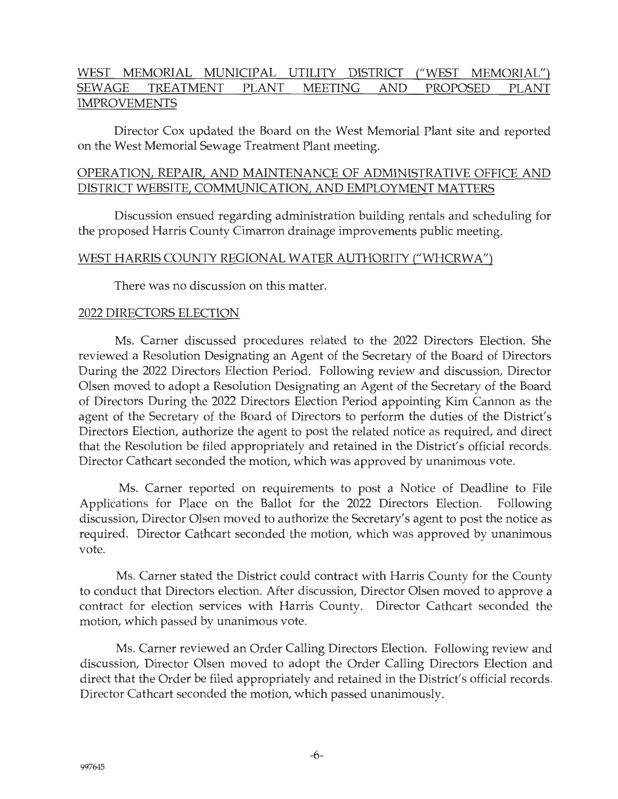## WEST MEMORIAL MUNICIPAL UTILITY DISTRICT ("WEST MEMORIAL") SEWAGE TREATMENT PLANT MEETING AND PROPOSED PLANT IMPROVEMENTS

Director Cox updated the Board on the West Memorial Plant site and reported on the West Memorial Sewage Treatment Plant meeting.

#### OPERATION, REPAIR, AND MAINTENANCE OF ADMINISTRATIVE OFFICE AND DISTRICT WEBSITE, COMMUNICATION, AND EMPLOYMENT MATTERS

Discussion ensued regarding administration building rentals and scheduling for the proposed Harris County Cimarron drainage improvements public meeting.

#### WEST HARRIS COUNTY REGIONAL WATER AUTHORITY ("WHCRWA")

There was no discussion on this matter.

#### 2022 DIRECTORS ELECTION

Ms. Carner discussed procedures related to the 2022 Directors Election. She reviewed a Resolution Designating an Agent of the Secretary of the Board of Directors During the 2022 Directors Election Period. Following review and discussion, Director Olsen moved to adopt a Resolution Designating an Agent of the Secretary of the Board of Directors During the 2022 Directors Election Period appointing Kim Cannon as the agent of the Secretary of the Board of Directors to perform the duties of the District's Directors Election, authorize the agent to post the related notice as required, and direct that the Resolution be filed appropriately and retained in the District's official records. Director Cathcart seconded the motion, which was approved by unanimous vote.

Ms. Carner reported on requirements to post a Notice of Deadline to File Applications for Place on the Ballot for the 2022 Directors Election. Following discussion, Director Olsen moved to authorize the Secretary's agent to post the notice as required. Director Cathcart seconded the motion, which was approved by unanimous vote.

Ms. Carner stated the District could contract with Harris County for the County to conduct that Directors election. After discussion, Director Olsen moved to approve a contract for election services with Harris County. Director Cathcart seconded the motion, which passed by unanimous vote.

Ms. Carner reviewed an Order Calling Directors Election. Following review and discussion, Director Olsen moved to adopt the Order Calling Directors Election and direct that the Order be filed appropriately and retained in the District's official records. Director Cathcart seconded the motion, which passed unanimously.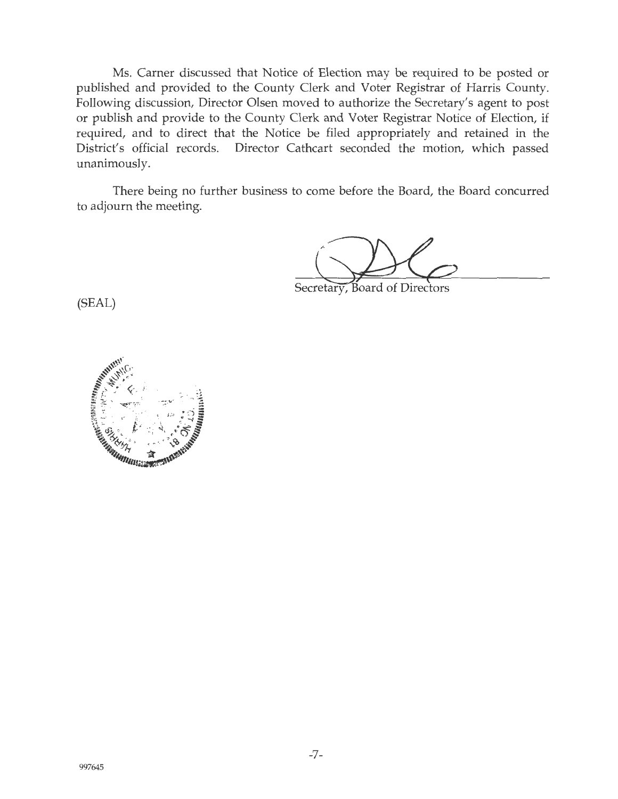Ms. Carner discussed that Notice of Election may be required to be posted or published and provided to the County Clerk and Voter Registrar of Harris County. Following discussion, Director Olsen moved to authorize the Secretary's agent to post or publish and provide to the County Clerk and Voter Registrar Notice of Election, if required, and to direct that the Notice be filed appropriately and retained in the District's official records. Director Cathcart seconded the motion, which passed unanimously.

There being no further business to come before the Board, the Board concurred to adjourn the meeting.

o come before the Board, the Board concurred<br>Secretary, Board of Directors

(SEAL)